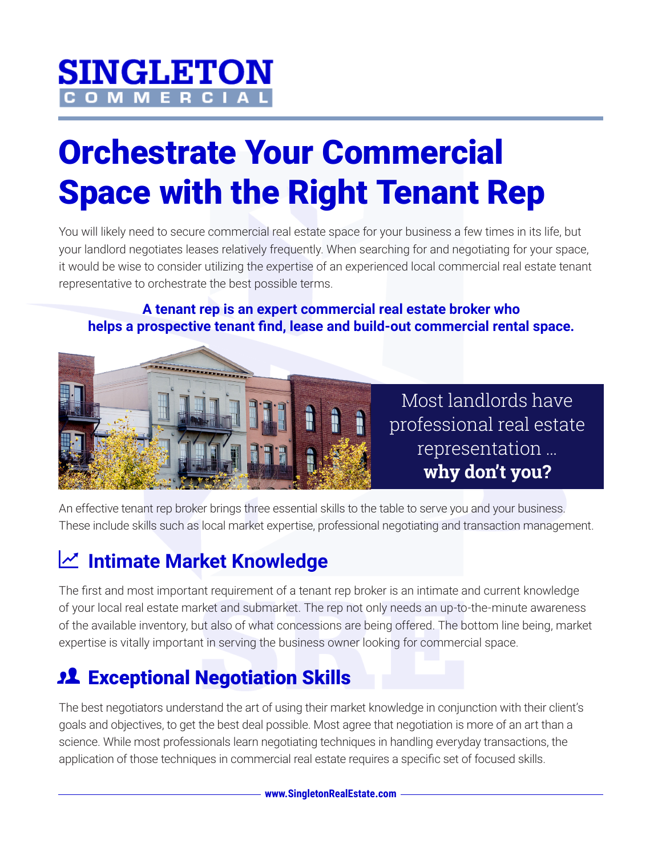# **SINGLETON**

## Orchestrate Your Commercial Space with the Right Tenant Rep

You will likely need to secure commercial real estate space for your business a few times in its life, but your landlord negotiates leases relatively frequently. When searching for and negotiating for your space, it would be wise to consider utilizing the expertise of an experienced local commercial real estate tenant representative to orchestrate the best possible terms.

#### **A tenant rep is an expert commercial real estate broker who helps a prospective tenant find, lease and build-out commercial rental space.**



Most landlords have professional real estate representation … **why don't you?**

An effective tenant rep broker brings three essential skills to the table to serve you and your business. These include skills such as local market expertise, professional negotiating and transaction management.

#### **Intimate Market Knowledge**

The first and most important requirement of a tenant rep broker is an intimate and current knowledge of your local real estate market and submarket. The rep not only needs an up-to-the-minute awareness of the available inventory, but also of what concessions are being offered. The bottom line being, market expertise is vitally important in serving the business owner looking for commercial space.

#### **22 Exceptional Negotiation Skills**

The best negotiators understand the art of using their market knowledge in conjunction with their client's goals and objectives, to get the best deal possible. Most agree that negotiation is more of an art than a science. While most professionals learn negotiating techniques in handling everyday transactions, the application of those techniques in commercial real estate requires a specific set of focused skills.